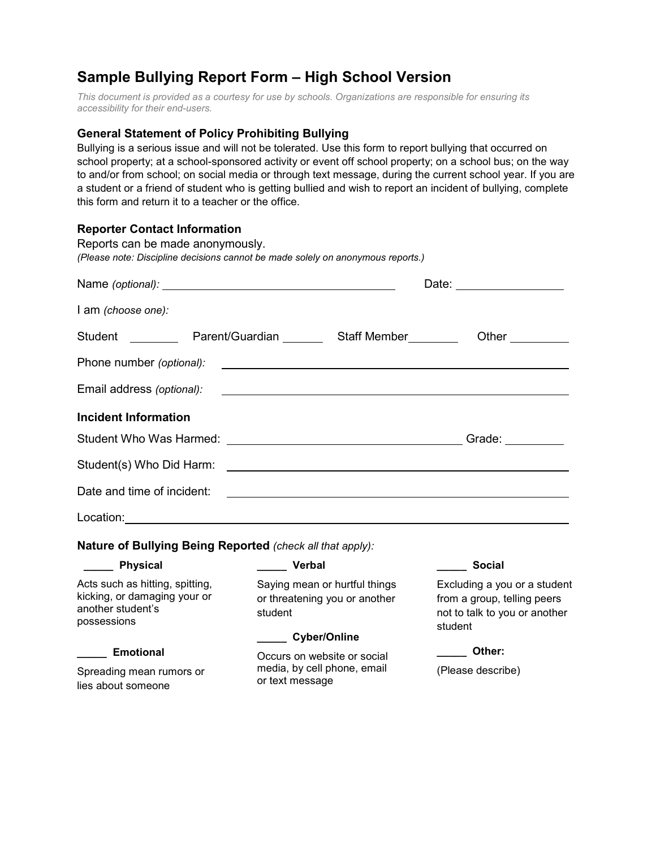## **Sample Bullying Report Form – High School Version**

*This document is provided as a courtesy for use by schools. Organizations are responsible for ensuring its accessibility for their end-users.* 

## **General Statement of Policy Prohibiting Bullying**

Bullying is a serious issue and will not be tolerated. Use this form to report bullying that occurred on school property; at a school-sponsored activity or event off school property; on a school bus; on the way to and/or from school; on social media or through text message, during the current school year. If you are a student or a friend of student who is getting bullied and wish to report an incident of bullying, complete this form and return it to a teacher or the office.

## **Reporter Contact Information**

| Reports can be made anonymously.<br>(Please note: Discipline decisions cannot be made solely on anonymous reports.) |                                                                               |                                                                                                         |
|---------------------------------------------------------------------------------------------------------------------|-------------------------------------------------------------------------------|---------------------------------------------------------------------------------------------------------|
|                                                                                                                     |                                                                               |                                                                                                         |
| I am (choose one):                                                                                                  |                                                                               |                                                                                                         |
| Student ___________ Parent/Guardian _________ Staff Member _________                                                |                                                                               | Other $\_\_$                                                                                            |
| Phone number (optional):                                                                                            |                                                                               |                                                                                                         |
| Email address (optional):                                                                                           |                                                                               |                                                                                                         |
| <b>Incident Information</b>                                                                                         |                                                                               |                                                                                                         |
|                                                                                                                     |                                                                               |                                                                                                         |
|                                                                                                                     |                                                                               |                                                                                                         |
| Date and time of incident:                                                                                          |                                                                               |                                                                                                         |
|                                                                                                                     |                                                                               |                                                                                                         |
| Nature of Bullying Being Reported (check all that apply):                                                           |                                                                               |                                                                                                         |
| _____ Physical                                                                                                      | Verbal                                                                        | <b>Social</b>                                                                                           |
| Acts such as hitting, spitting,<br>kicking, or damaging your or<br>another student's<br>possessions                 | Saying mean or hurtful things<br>or threatening you or another<br>student     | Excluding a you or a student<br>from a group, telling peers<br>not to talk to you or another<br>student |
|                                                                                                                     | Cyber/Online                                                                  | Other:                                                                                                  |
| <b>Emotional</b><br>Spreading mean rumors or<br>lies about someone                                                  | Occurs on website or social<br>media, by cell phone, email<br>or text message | (Please describe)                                                                                       |